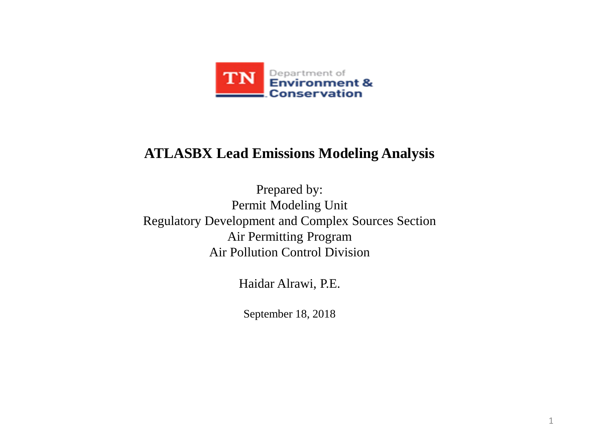

### **ATLASBX Lead Emissions Modeling Analysis**

Prepared by: Permit Modeling Unit Regulatory Development and Complex Sources Section Air Permitting Program Air Pollution Control Division

Haidar Alrawi, P.E.

September 18, 2018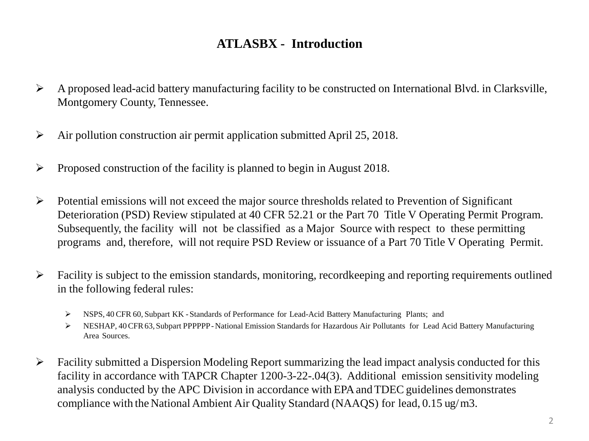### **ATLASBX - Introduction**

- A proposed lead-acid battery manufacturing facility to be constructed on International Blvd. in Clarksville, Montgomery County, Tennessee.
- $\triangleright$  Air pollution construction air permit application submitted April 25, 2018.
- $\triangleright$  Proposed construction of the facility is planned to begin in August 2018.
- $\triangleright$  Potential emissions will not exceed the major source thresholds related to Prevention of Significant Deterioration (PSD) Review stipulated at 40 CFR 52.21 or the Part 70 Title V Operating Permit Program. Subsequently, the facility will not be classified as a Major Source with respect to these permitting programs and, therefore, will not require PSD Review or issuance of a Part 70 Title V Operating Permit.
- $\triangleright$  Facility is subject to the emission standards, monitoring, recordkeeping and reporting requirements outlined in the following federal rules:
	- NSPS, 40 CFR 60, Subpart KK -Standards of Performance for Lead-Acid Battery Manufacturing Plants; and
	- NESHAP, 40CFR63,Subpart PPPPPP-National Emission Standards for Hazardous Air Pollutants for Lead Acid Battery Manufacturing Area Sources.
- $\triangleright$  Facility submitted a Dispersion Modeling Report summarizing the lead impact analysis conducted for this facility in accordance with TAPCR Chapter 1200-3-22-.04(3). Additional emission sensitivity modeling analysis conducted by the APC Division in accordance with EPAandTDEC guidelines demonstrates compliance with the National Ambient Air Quality Standard (NAAQS) for lead, 0.15 ug/m3.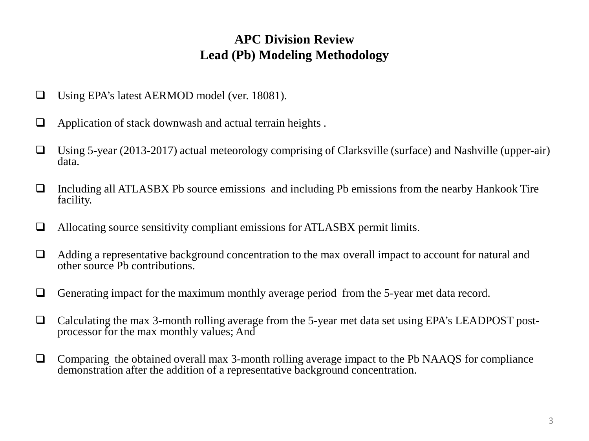### **APC Division Review Lead (Pb) Modeling Methodology**

- Using EPA's latest AERMOD model (ver. 18081).
- $\Box$  Application of stack downwash and actual terrain heights.
- $\Box$  Using 5-year (2013-2017) actual meteorology comprising of Clarksville (surface) and Nashville (upper-air) data.
- $\Box$  Including all ATLASBX Pb source emissions and including Pb emissions from the nearby Hankook Tire facility.
- $\Box$  Allocating source sensitivity compliant emissions for ATLASBX permit limits.
- $\Box$  Adding a representative background concentration to the max overall impact to account for natural and other source Pb contributions.
- Generating impact for the maximum monthly average period from the 5-year met data record.
- Calculating the max 3-month rolling average from the 5-year met data set using EPA's LEADPOST post- processor for the max monthly values; And
- $\Box$  Comparing the obtained overall max 3-month rolling average impact to the Pb NAAOS for compliance demonstration after the addition of a representative background concentration.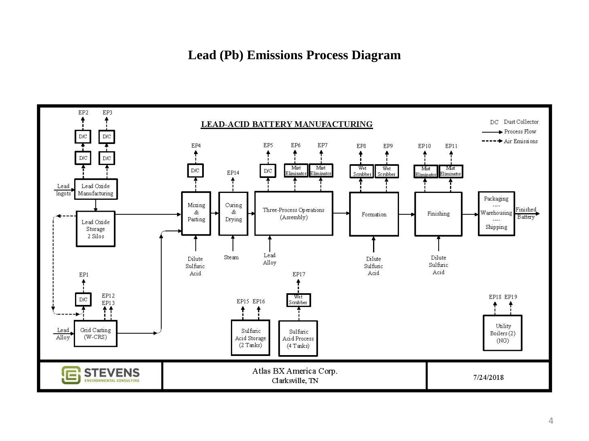#### **Lead (Pb) Emissions Process Diagram**

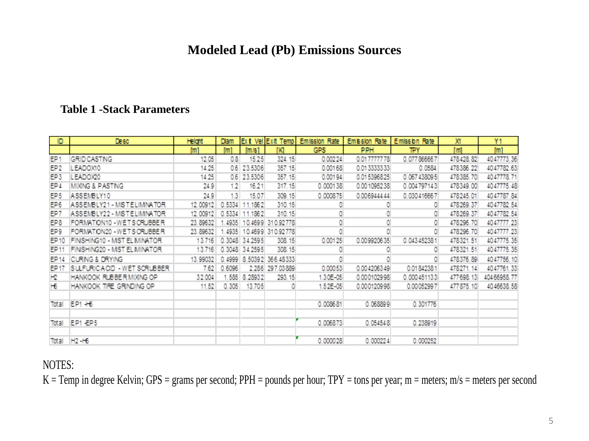#### **Modeled Lead (Pb) Emissions Sources**

#### **Table 1 -Stack Parameters**

| ID              | Desc                         | <b>Height</b> | Diam   |                | Ext VellExit Templ | Emission Rate | Emission Rate   Emission Rate |             | ж          | Y1               |
|-----------------|------------------------------|---------------|--------|----------------|--------------------|---------------|-------------------------------|-------------|------------|------------------|
|                 |                              | m1            | [m]    | m/s1           | гкі                | <b>GPS</b>    | <b>PPH</b>                    | TΡY         | [m]        | [ <sub>m</sub> ] |
| EP1             | GRID CASTING                 | 12.05         | 0.8    | 15.25          | 324.15             | 0.00224       | 0.017777778                   | 0.077866667 | 478428.82  | 4047773.36       |
| EP2             | LEADOXIO                     | 14.25         | 0.6    | 23.5306        | 357.15             | 0.00168       | 0.013333333                   | 0.0584      | 478386.22  | 4047782.63       |
| EP3             | LEADOX20                     | 14.25         | 0.6    | 23.5306        | 357.15             | 0.00194       | 0.015396825                   | 0.067438095 | 478385.70  | 4047778.71       |
| EP 4            | MIXING & PASTING             | 24.9          | 1.2    | 16.21          | 317.15             | 0.000138      | 0.001095238                   | 0.004797143 | 478349.00  | 4047775.48       |
| EP5             | ASSEMBLY10                   | 24.9          | 1.3    | 15.07          | 309.15             | 0.000875      | 0.006944444                   | 0.030416667 | 478245.01  | 4047787.84       |
| EP <sub>6</sub> | ASSEMBLY21 - MISTELIMINATOR  | 12.00912      | 0.5334 | 1862           | 310.15             |               |                               | OI          | 478269.37  | 4047782.54       |
| EP7             | ASSEMBLY22 - MISTELIMINATOR  | 12.00912      | 0.5334 | 1862           | 310.15             |               |                               | 0           | 478269.37  | 4047782.54       |
| EP8             | FORMATION10-WETSCRUBBER      | 23.89632      | 4935   |                | 10.4699 310.92778  |               |                               | O           | 478296.70  | 4047777.23       |
| EP9             | FORMATION20 - WETS CRUBBER   | 23.89632      | 4935   | 10.4699        | 310.92778          |               |                               | ٥I          | 478296.70  | 4047777.23       |
| EP10            | FINSHING10 - MIST EL MINATOR | 13.716        |        | 0.3048 34.2595 | 308.15             | 0.00125       | 0.009920635                   | 0.043452381 | 478321.51  | 4047775.35       |
| EP 11           | FINSHING20 - MST EL MINATOR  | 13.716        |        | 0.3048 34.2595 | 308.15             |               |                               |             | 478321.51  | 4047775.35       |
| EP 14           | CURING & DRYING              | 13.99032      | 0.4999 |                | 8.50392 366.48333  |               |                               |             | 478376.89  | 4047756.10       |
| EP 17           | ISULFURICACID - WET SORUBBER | 7.62          | 0.6096 |                | 2 286 297.03889    | 0.00053       | 0.004206349                   | 0.01842381  | 478271.14  | 4047761.33       |
| НΩ              | HANKOOK RUBBER MIXING OP     | 32.004        | .585   | 8.28932        | 293.15             | 1.30E-05      | 0.000102998                   | 0.000451133 | 477698.13  | 40466958.77      |
| Hб              | HANKOOK TIRE GRINDING OP     | 11.52         | 0.305  | 13.705         |                    | 1.52E-05      | 0.000120998                   | 0.00052997  | 477 875.10 | 4046638.58       |
|                 |                              |               |        |                |                    |               |                               |             |            |                  |
| Total           | EP1 +6                       |               |        |                |                    | 0.008681      | 0.068899                      | 0.301776    |            |                  |
|                 |                              |               |        |                |                    |               |                               |             |            |                  |
| Total           | EP1-EP5                      |               |        |                |                    | 0.006873      | 0.054548                      | 0.238919    |            |                  |
|                 |                              |               |        |                |                    |               |                               |             |            |                  |
| Total           | $H2 - H6$                    |               |        |                |                    | 0.000028      | 0.000224                      | 0.000252    |            |                  |

#### NOTES:

 $K =$ Temp in degree Kelvin; GPS = grams per second; PPH = pounds per hour; TPY = tons per year; m = meters; m/s = meters per second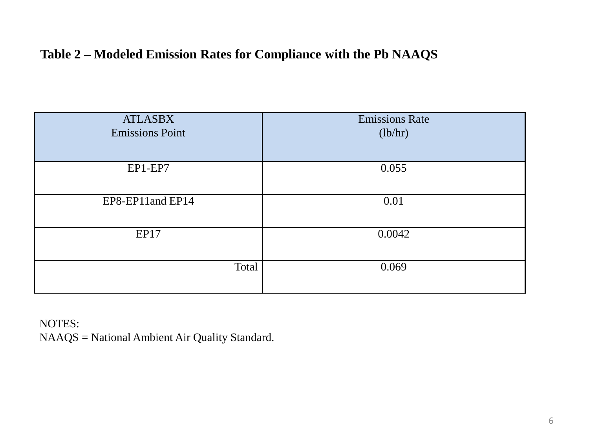### **Table 2 – Modeled Emission Rates for Compliance with the Pb NAAQS**

| <b>ATLASBX</b><br><b>Emissions Point</b> | <b>Emissions Rate</b><br>(lb/hr) |
|------------------------------------------|----------------------------------|
| EP1-EP7                                  | 0.055                            |
| EP8-EP11and EP14                         | 0.01                             |
| <b>EP17</b>                              | 0.0042                           |
| Total                                    | 0.069                            |

NOTES: NAAQS = National Ambient Air Quality Standard.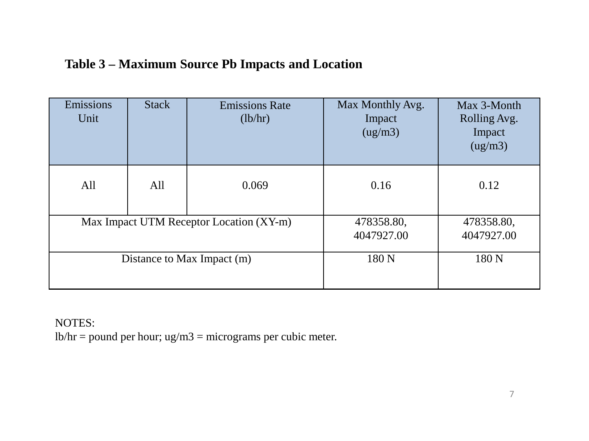| Emissions<br>Unit                       | <b>Stack</b> | <b>Emissions Rate</b><br>(lb/hr) | Max Monthly Avg.<br>Impact<br>(ug/m3) | Max 3-Month<br>Rolling Avg.<br>Impact<br>(ug/m3) |
|-----------------------------------------|--------------|----------------------------------|---------------------------------------|--------------------------------------------------|
| All                                     | All          | 0.069                            | 0.16                                  | 0.12                                             |
| Max Impact UTM Receptor Location (XY-m) |              |                                  | 478358.80,<br>4047927.00              | 478358.80,<br>4047927.00                         |
| Distance to Max Impact (m)              |              |                                  | 180 N                                 | 180 <sub>N</sub>                                 |

NOTES:

 $lb/hr = pound$  per hour; ug/m3 = micrograms per cubic meter.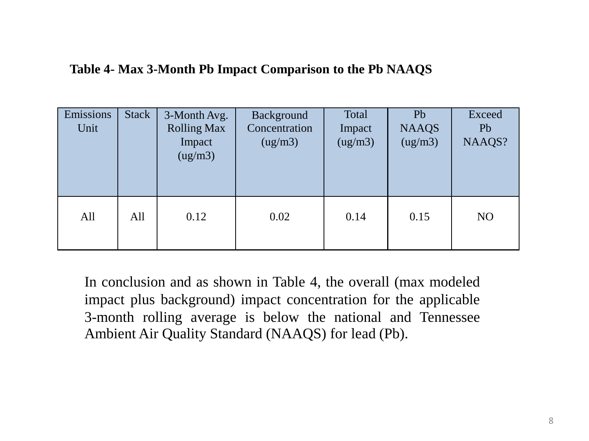#### **Table 4- Max 3-Month Pb Impact Comparison to the Pb NAAQS**

| Emissions<br>Unit | <b>Stack</b> | 3-Month Avg.<br><b>Rolling Max</b><br>Impact<br>(ug/m3) | Background<br>Concentration<br>(ug/m3) | Total<br>Impact<br>(ug/m3) | Pb<br><b>NAAQS</b><br>(ug/m3) | Exceed<br>Pb<br>NAAQS? |
|-------------------|--------------|---------------------------------------------------------|----------------------------------------|----------------------------|-------------------------------|------------------------|
| All               | All          | 0.12                                                    | 0.02                                   | 0.14                       | 0.15                          | N <sub>O</sub>         |

In conclusion and as shown in Table 4, the overall (max modeled impact plus background) impact concentration for the applicable 3-month rolling average is below the national and Tennessee Ambient Air Quality Standard (NAAQS) for lead (Pb).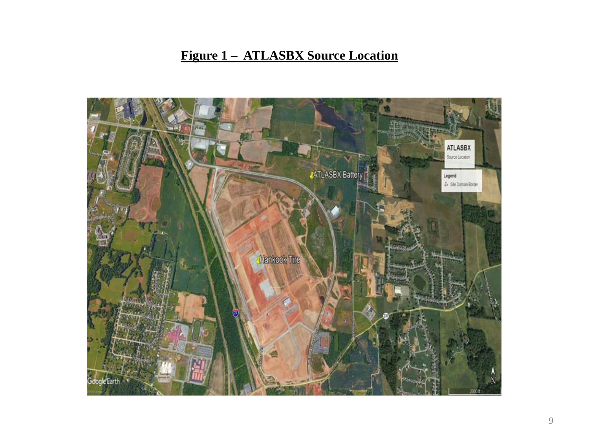# **Figure 1 – ATLASBX Source Location**

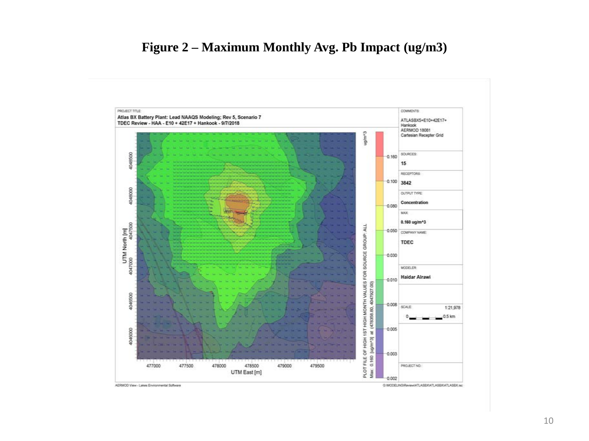#### **Figure 2 – Maximum Monthly Avg. Pb Impact (ug/m3)**

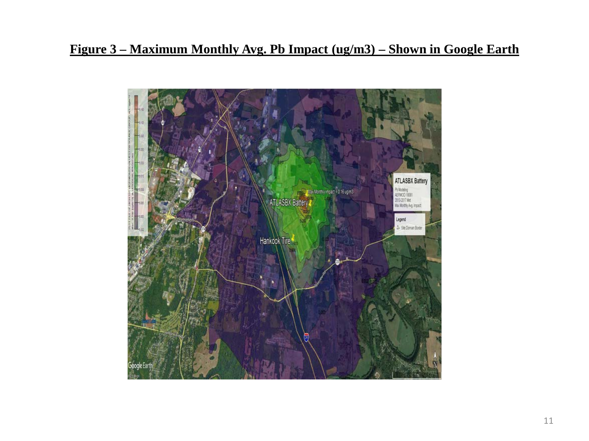### **Figure 3 – Maximum Monthly Avg. Pb Impact (ug/m3) – Shown in Google Earth**

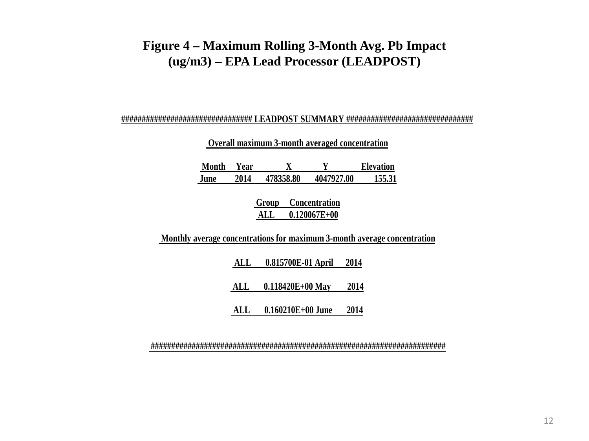### **Figure 4 – Maximum Rolling 3-Month Avg. Pb Impact (ug/m3) – EPA Lead Processor (LEADPOST)**

#### **################################ LEADPOST SUMMARY ###############################**

**Overall maximum 3-month averaged concentration** 

| Month | Year |           |            | <b>Elevation</b> |
|-------|------|-----------|------------|------------------|
| June  | 2014 | 478358.80 | 4047927.00 | 155.31           |

**Group Concentration ALL 0.120067E+00**

**Monthly average concentrations for maximum 3-month average concentration**

**ALL 0.815700E-01 April 2014**

**ALL 0.118420E+00 May 2014**

**ALL 0.160210E+00 June 2014**

**########################################################################**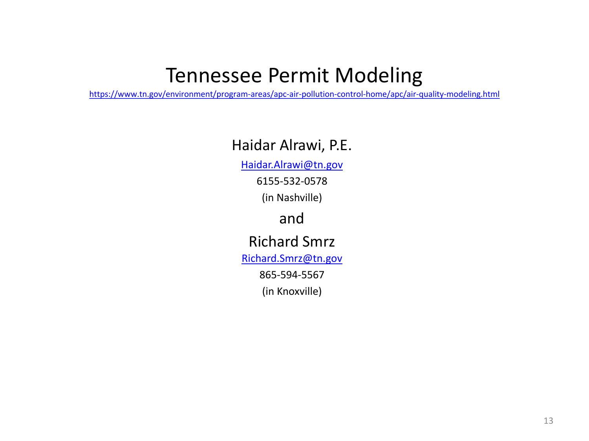# Tennessee Permit Modeling

<https://www.tn.gov/environment/program-areas/apc-air-pollution-control-home/apc/air-quality-modeling.html>

# Haidar Alrawi, P.E.

[Haidar.Alrawi@tn.gov](mailto:Haidar.Alrawi@tn.gov)

6155-532-0578

(in Nashville)

# and

# Richard Smrz

[Richard.Smrz@tn.gov](mailto:Richard.Smrz@tn.gov)

865-594-5567

(in Knoxville)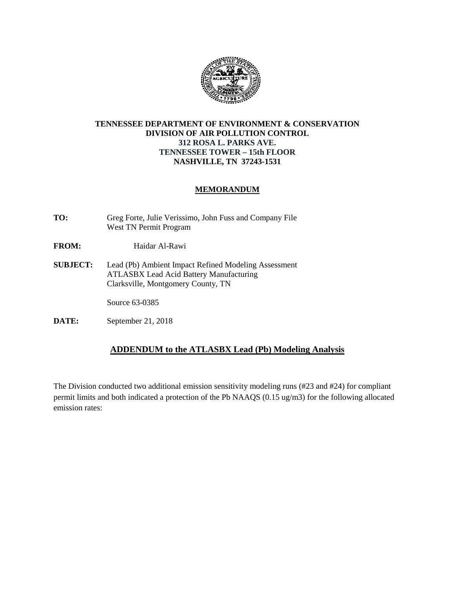

#### **TENNESSEE DEPARTMENT OF ENVIRONMENT & CONSERVATION DIVISION OF AIR POLLUTION CONTROL 312 ROSA L. PARKS AVE. TENNESSEE TOWER – 15th FLOOR NASHVILLE, TN 37243-1531**

#### **MEMORANDUM**

- **TO:** Greg Forte, Julie Verissimo, John Fuss and Company File West TN Permit Program
- FROM: Haidar Al-Rawi
- **SUBJECT:** Lead (Pb) Ambient Impact Refined Modeling Assessment ATLASBX Lead Acid Battery Manufacturing Clarksville, Montgomery County, TN

Source 63-0385

**DATE:** September 21, 2018

#### **ADDENDUM to the ATLASBX Lead (Pb) Modeling Analysis**

The Division conducted two additional emission sensitivity modeling runs (#23 and #24) for compliant permit limits and both indicated a protection of the Pb NAAQS (0.15 ug/m3) for the following allocated emission rates: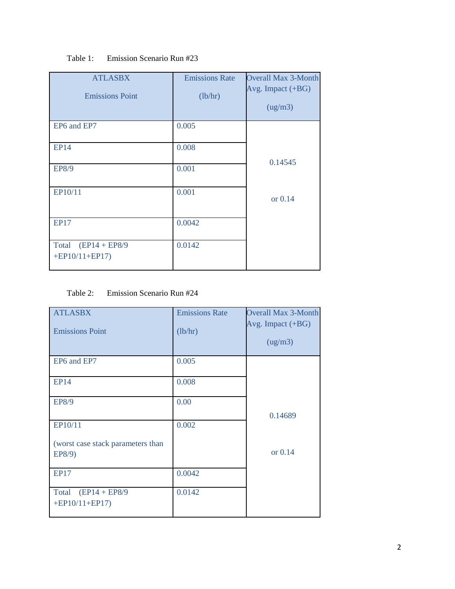| <b>ATLASBX</b><br><b>Emissions Point</b>      | <b>Emissions Rate</b><br>(lb/hr) | <b>Overall Max 3-Month</b><br>Avg. Impact (+BG)<br>(ug/m3) |
|-----------------------------------------------|----------------------------------|------------------------------------------------------------|
| EP6 and EP7                                   | 0.005                            |                                                            |
| <b>EP14</b>                                   | 0.008                            | 0.14545                                                    |
| EP8/9                                         | 0.001                            |                                                            |
| EP10/11                                       | 0.001                            | or 0.14                                                    |
| <b>EP17</b>                                   | 0.0042                           |                                                            |
| $(EP14 + EP8/9)$<br>Total<br>$+EP10/11+EP17)$ | 0.0142                           |                                                            |

#### Table 1: Emission Scenario Run #23

#### Table 2: Emission Scenario Run #24

| <b>ATLASBX</b><br><b>Emissions Point</b>    | <b>Emissions Rate</b><br>(lb/hr) | <b>Overall Max 3-Month</b><br>Avg. Impact (+BG)<br>(ug/m3) |
|---------------------------------------------|----------------------------------|------------------------------------------------------------|
| EP6 and EP7                                 | 0.005                            |                                                            |
| <b>EP14</b>                                 | 0.008                            |                                                            |
| EP8/9                                       | 0.00                             | 0.14689                                                    |
| EP10/11                                     | 0.002                            |                                                            |
| (worst case stack parameters than<br>EP8/9) |                                  | or 0.14                                                    |
| <b>EP17</b>                                 | 0.0042                           |                                                            |
| Total $(EP14 + EP8/9)$<br>$+EP10/11+EP17)$  | 0.0142                           |                                                            |